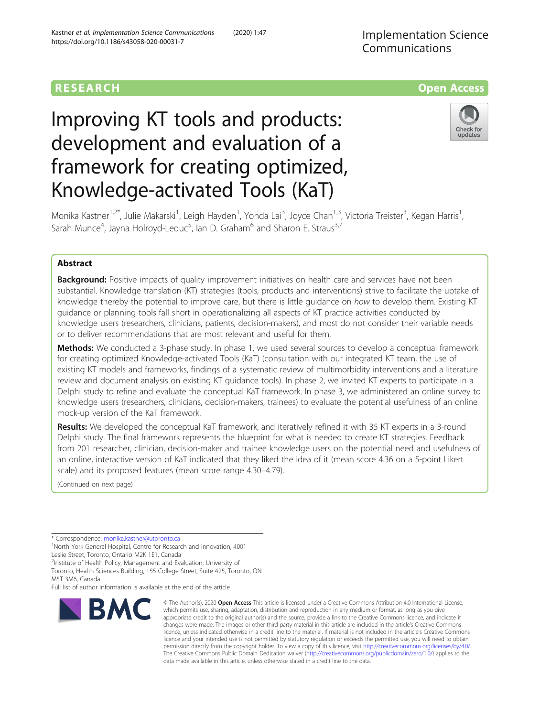# Implementation Science Communications



# Improving KT tools and products: development and evaluation of a framework for creating optimized, Knowledge-activated Tools (KaT)



Monika Kastner<sup>1,2\*</sup>, Julie Makarski<sup>1</sup>, Leigh Hayden<sup>1</sup>, Yonda Lai<sup>3</sup>, Joyce Chan<sup>1,3</sup>, Victoria Treister<sup>3</sup>, Kegan Harris<sup>1</sup> , Sarah Munce<sup>4</sup>, Jayna Holroyd-Leduc<sup>5</sup>, Ian D. Graham<sup>6</sup> and Sharon E. Straus<sup>3,7</sup>

# Abstract

**Background:** Positive impacts of quality improvement initiatives on health care and services have not been substantial. Knowledge translation (KT) strategies (tools, products and interventions) strive to facilitate the uptake of knowledge thereby the potential to improve care, but there is little guidance on how to develop them. Existing KT guidance or planning tools fall short in operationalizing all aspects of KT practice activities conducted by knowledge users (researchers, clinicians, patients, decision-makers), and most do not consider their variable needs or to deliver recommendations that are most relevant and useful for them.

Methods: We conducted a 3-phase study. In phase 1, we used several sources to develop a conceptual framework for creating optimized Knowledge-activated Tools (KaT) (consultation with our integrated KT team, the use of existing KT models and frameworks, findings of a systematic review of multimorbidity interventions and a literature review and document analysis on existing KT guidance tools). In phase 2, we invited KT experts to participate in a Delphi study to refine and evaluate the conceptual KaT framework. In phase 3, we administered an online survey to knowledge users (researchers, clinicians, decision-makers, trainees) to evaluate the potential usefulness of an online mock-up version of the KaT framework.

Results: We developed the conceptual KaT framework, and iteratively refined it with 35 KT experts in a 3-round Delphi study. The final framework represents the blueprint for what is needed to create KT strategies. Feedback from 201 researcher, clinician, decision-maker and trainee knowledge users on the potential need and usefulness of an online, interactive version of KaT indicated that they liked the idea of it (mean score 4.36 on a 5-point Likert scale) and its proposed features (mean score range 4.30–4.79).

(Continued on next page)

\* Correspondence: [monika.kastner@utoronto.ca](mailto:monika.kastner@utoronto.ca) <sup>1</sup>

<sup>1</sup>North York General Hospital, Centre for Research and Innovation, 4001 Leslie Street, Toronto, Ontario M2K 1E1, Canada

<sup>2</sup>Institute of Health Policy, Management and Evaluation, University of

Toronto, Health Sciences Building, 155 College Street, Suite 425, Toronto, ON M5T 3M6, Canada

Full list of author information is available at the end of the article



<sup>©</sup> The Author(s), 2020 **Open Access** This article is licensed under a Creative Commons Attribution 4.0 International License, which permits use, sharing, adaptation, distribution and reproduction in any medium or format, as long as you give appropriate credit to the original author(s) and the source, provide a link to the Creative Commons licence, and indicate if changes were made. The images or other third party material in this article are included in the article's Creative Commons licence, unless indicated otherwise in a credit line to the material. If material is not included in the article's Creative Commons licence and your intended use is not permitted by statutory regulation or exceeds the permitted use, you will need to obtain permission directly from the copyright holder. To view a copy of this licence, visit [http://creativecommons.org/licenses/by/4.0/.](http://creativecommons.org/licenses/by/4.0/) The Creative Commons Public Domain Dedication waiver [\(http://creativecommons.org/publicdomain/zero/1.0/](http://creativecommons.org/publicdomain/zero/1.0/)) applies to the data made available in this article, unless otherwise stated in a credit line to the data.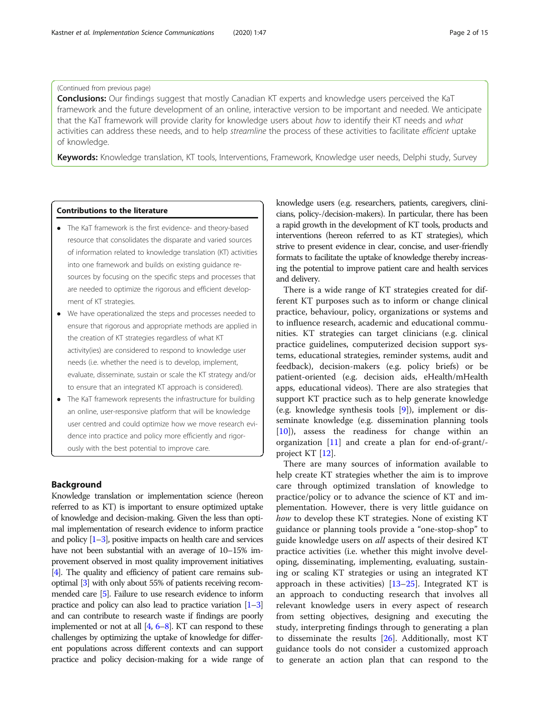# (Continued from previous page)

**Conclusions:** Our findings suggest that mostly Canadian KT experts and knowledge users perceived the KaT framework and the future development of an online, interactive version to be important and needed. We anticipate that the KaT framework will provide clarity for knowledge users about how to identify their KT needs and what activities can address these needs, and to help streamline the process of these activities to facilitate efficient uptake of knowledge.

Keywords: Knowledge translation, KT tools, Interventions, Framework, Knowledge user needs, Delphi study, Survey

#### Contributions to the literature

- The KaT framework is the first evidence- and theory-based resource that consolidates the disparate and varied sources of information related to knowledge translation (KT) activities into one framework and builds on existing guidance resources by focusing on the specific steps and processes that are needed to optimize the rigorous and efficient development of KT strategies.
- We have operationalized the steps and processes needed to ensure that rigorous and appropriate methods are applied in the creation of KT strategies regardless of what KT activity(ies) are considered to respond to knowledge user needs (i.e. whether the need is to develop, implement, evaluate, disseminate, sustain or scale the KT strategy and/or to ensure that an integrated KT approach is considered).
- The KaT framework represents the infrastructure for building an online, user-responsive platform that will be knowledge user centred and could optimize how we move research evidence into practice and policy more efficiently and rigorously with the best potential to improve care.

# Background

Knowledge translation or implementation science (hereon referred to as KT) is important to ensure optimized uptake of knowledge and decision-making. Given the less than optimal implementation of research evidence to inform practice and policy  $[1-3]$  $[1-3]$  $[1-3]$  $[1-3]$ , positive impacts on health care and services have not been substantial with an average of 10–15% improvement observed in most quality improvement initiatives [[4](#page-13-0)]. The quality and efficiency of patient care remains suboptimal [\[3](#page-13-0)] with only about 55% of patients receiving recommended care [\[5\]](#page-13-0). Failure to use research evidence to inform practice and policy can also lead to practice variation [[1](#page-13-0)–[3](#page-13-0)] and can contribute to research waste if findings are poorly implemented or not at all [\[4,](#page-13-0) [6](#page-13-0)–[8](#page-13-0)]. KT can respond to these challenges by optimizing the uptake of knowledge for different populations across different contexts and can support practice and policy decision-making for a wide range of knowledge users (e.g. researchers, patients, caregivers, clinicians, policy-/decision-makers). In particular, there has been a rapid growth in the development of KT tools, products and interventions (hereon referred to as KT strategies), which strive to present evidence in clear, concise, and user-friendly formats to facilitate the uptake of knowledge thereby increasing the potential to improve patient care and health services and delivery.

There is a wide range of KT strategies created for different KT purposes such as to inform or change clinical practice, behaviour, policy, organizations or systems and to influence research, academic and educational communities. KT strategies can target clinicians (e.g. clinical practice guidelines, computerized decision support systems, educational strategies, reminder systems, audit and feedback), decision-makers (e.g. policy briefs) or be patient-oriented (e.g. decision aids, eHealth/mHealth apps, educational videos). There are also strategies that support KT practice such as to help generate knowledge (e.g. knowledge synthesis tools [\[9](#page-13-0)]), implement or disseminate knowledge (e.g. dissemination planning tools [[10\]](#page-13-0)), assess the readiness for change within an organization [[11\]](#page-13-0) and create a plan for end-of-grant/ project KT [\[12](#page-13-0)].

There are many sources of information available to help create KT strategies whether the aim is to improve care through optimized translation of knowledge to practice/policy or to advance the science of KT and implementation. However, there is very little guidance on how to develop these KT strategies. None of existing KT guidance or planning tools provide a "one-stop-shop" to guide knowledge users on all aspects of their desired KT practice activities (i.e. whether this might involve developing, disseminating, implementing, evaluating, sustaining or scaling KT strategies or using an integrated KT approach in these activities) [\[13](#page-13-0)–[25\]](#page-14-0). Integrated KT is an approach to conducting research that involves all relevant knowledge users in every aspect of research from setting objectives, designing and executing the study, interpreting findings through to generating a plan to disseminate the results  $[26]$ . Additionally, most KT guidance tools do not consider a customized approach to generate an action plan that can respond to the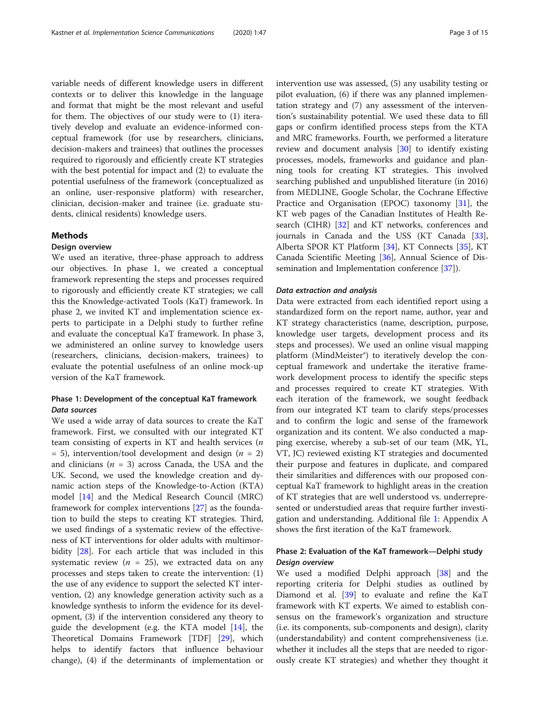variable needs of different knowledge users in different contexts or to deliver this knowledge in the language and format that might be the most relevant and useful for them. The objectives of our study were to (1) iteratively develop and evaluate an evidence-informed conceptual framework (for use by researchers, clinicians, decision-makers and trainees) that outlines the processes required to rigorously and efficiently create KT strategies with the best potential for impact and (2) to evaluate the potential usefulness of the framework (conceptualized as an online, user-responsive platform) with researcher, clinician, decision-maker and trainee (i.e. graduate students, clinical residents) knowledge users.

#### Methods

# Design overview

We used an iterative, three-phase approach to address our objectives. In phase 1, we created a conceptual framework representing the steps and processes required to rigorously and efficiently create KT strategies; we call this the Knowledge-activated Tools (KaT) framework. In phase 2, we invited KT and implementation science experts to participate in a Delphi study to further refine and evaluate the conceptual KaT framework. In phase 3, we administered an online survey to knowledge users (researchers, clinicians, decision-makers, trainees) to evaluate the potential usefulness of an online mock-up version of the KaT framework.

# Phase 1: Development of the conceptual KaT framework Data sources

We used a wide array of data sources to create the KaT framework. First, we consulted with our integrated KT team consisting of experts in KT and health services (n  $= 5$ ), intervention/tool development and design ( $n = 2$ ) and clinicians ( $n = 3$ ) across Canada, the USA and the UK. Second, we used the knowledge creation and dynamic action steps of the Knowledge-to-Action (KTA) model [\[14](#page-14-0)] and the Medical Research Council (MRC) framework for complex interventions [[27\]](#page-14-0) as the foundation to build the steps to creating KT strategies. Third, we used findings of a systematic review of the effectiveness of KT interventions for older adults with multimorbidity [[28\]](#page-14-0). For each article that was included in this systematic review ( $n = 25$ ), we extracted data on any processes and steps taken to create the intervention: (1) the use of any evidence to support the selected KT intervention, (2) any knowledge generation activity such as a knowledge synthesis to inform the evidence for its development, (3) if the intervention considered any theory to guide the development (e.g. the KTA model [\[14](#page-14-0)], the Theoretical Domains Framework [TDF] [[29](#page-14-0)], which helps to identify factors that influence behaviour change), (4) if the determinants of implementation or intervention use was assessed, (5) any usability testing or pilot evaluation, (6) if there was any planned implementation strategy and (7) any assessment of the intervention's sustainability potential. We used these data to fill gaps or confirm identified process steps from the KTA and MRC frameworks. Fourth, we performed a literature review and document analysis [[30\]](#page-14-0) to identify existing processes, models, frameworks and guidance and planning tools for creating KT strategies. This involved searching published and unpublished literature (in 2016) from MEDLINE, Google Scholar, the Cochrane Effective Practice and Organisation (EPOC) taxonomy [[31](#page-14-0)], the KT web pages of the Canadian Institutes of Health Research (CIHR) [[32](#page-14-0)] and KT networks, conferences and journals in Canada and the USS (KT Canada [\[33](#page-14-0)], Alberta SPOR KT Platform [[34\]](#page-14-0), KT Connects [[35](#page-14-0)], KT Canada Scientific Meeting [[36](#page-14-0)], Annual Science of Dissemination and Implementation conference [[37](#page-14-0)]).

#### Data extraction and analysis

Data were extracted from each identified report using a standardized form on the report name, author, year and KT strategy characteristics (name, description, purpose, knowledge user targets, development process and its steps and processes). We used an online visual mapping platform (MindMeister®) to iteratively develop the conceptual framework and undertake the iterative framework development process to identify the specific steps and processes required to create KT strategies. With each iteration of the framework, we sought feedback from our integrated KT team to clarify steps/processes and to confirm the logic and sense of the framework organization and its content. We also conducted a mapping exercise, whereby a sub-set of our team (MK, YL, VT, JC) reviewed existing KT strategies and documented their purpose and features in duplicate, and compared their similarities and differences with our proposed conceptual KaT framework to highlight areas in the creation of KT strategies that are well understood vs. underrepresented or understudied areas that require further investigation and understanding. Additional file [1](#page-13-0): Appendix A shows the first iteration of the KaT framework.

# Phase 2: Evaluation of the KaT framework—Delphi study Design overview

We used a modified Delphi approach [[38\]](#page-14-0) and the reporting criteria for Delphi studies as outlined by Diamond et al. [\[39](#page-14-0)] to evaluate and refine the KaT framework with KT experts. We aimed to establish consensus on the framework's organization and structure (i.e. its components, sub-components and design), clarity (understandability) and content comprehensiveness (i.e. whether it includes all the steps that are needed to rigorously create KT strategies) and whether they thought it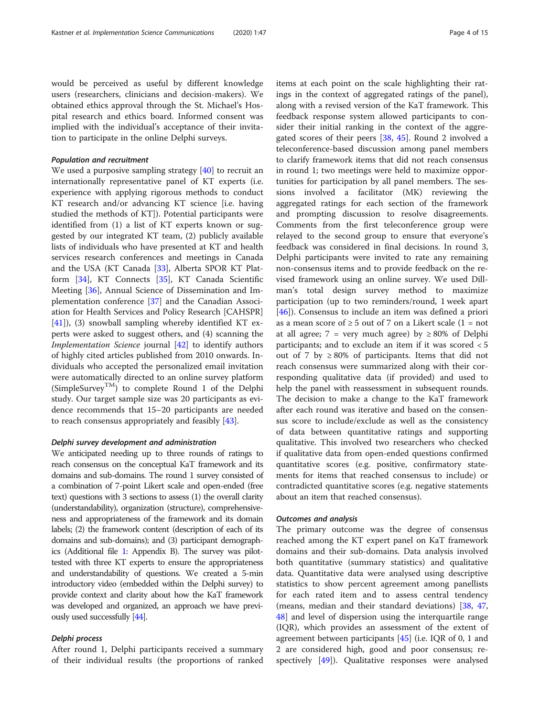would be perceived as useful by different knowledge users (researchers, clinicians and decision-makers). We obtained ethics approval through the St. Michael's Hospital research and ethics board. Informed consent was implied with the individual's acceptance of their invitation to participate in the online Delphi surveys.

#### Population and recruitment

We used a purposive sampling strategy  $[40]$  $[40]$  to recruit an internationally representative panel of KT experts (i.e. experience with applying rigorous methods to conduct KT research and/or advancing KT science [i.e. having studied the methods of KT]). Potential participants were identified from (1) a list of KT experts known or suggested by our integrated KT team, (2) publicly available lists of individuals who have presented at KT and health services research conferences and meetings in Canada and the USA (KT Canada [\[33\]](#page-14-0), Alberta SPOR KT Platform [\[34\]](#page-14-0), KT Connects [\[35](#page-14-0)], KT Canada Scientific Meeting [\[36\]](#page-14-0), Annual Science of Dissemination and Implementation conference [[37\]](#page-14-0) and the Canadian Association for Health Services and Policy Research [CAHSPR]  $[41]$  $[41]$ ), (3) snowball sampling whereby identified KT experts were asked to suggest others, and (4) scanning the Implementation Science journal [\[42](#page-14-0)] to identify authors of highly cited articles published from 2010 onwards. Individuals who accepted the personalized email invitation were automatically directed to an online survey platform (SimpleSurvey<sup>TM</sup>) to complete Round 1 of the Delphi study. Our target sample size was 20 participants as evidence recommends that 15–20 participants are needed to reach consensus appropriately and feasibly [\[43](#page-14-0)].

#### Delphi survey development and administration

We anticipated needing up to three rounds of ratings to reach consensus on the conceptual KaT framework and its domains and sub-domains. The round 1 survey consisted of a combination of 7-point Likert scale and open-ended (free text) questions with 3 sections to assess (1) the overall clarity (understandability), organization (structure), comprehensiveness and appropriateness of the framework and its domain labels; (2) the framework content (description of each of its domains and sub-domains); and (3) participant demographics (Additional file [1](#page-13-0): Appendix B). The survey was pilottested with three KT experts to ensure the appropriateness and understandability of questions. We created a 5-min introductory video (embedded within the Delphi survey) to provide context and clarity about how the KaT framework was developed and organized, an approach we have previously used successfully [[44\]](#page-14-0).

#### Delphi process

After round 1, Delphi participants received a summary of their individual results (the proportions of ranked items at each point on the scale highlighting their ratings in the context of aggregated ratings of the panel), along with a revised version of the KaT framework. This feedback response system allowed participants to consider their initial ranking in the context of the aggregated scores of their peers [\[38,](#page-14-0) [45\]](#page-14-0). Round 2 involved a teleconference-based discussion among panel members to clarify framework items that did not reach consensus in round 1; two meetings were held to maximize opportunities for participation by all panel members. The sessions involved a facilitator (MK) reviewing the aggregated ratings for each section of the framework and prompting discussion to resolve disagreements. Comments from the first teleconference group were relayed to the second group to ensure that everyone's feedback was considered in final decisions. In round 3, Delphi participants were invited to rate any remaining non-consensus items and to provide feedback on the revised framework using an online survey. We used Dillman's total design survey method to maximize participation (up to two reminders/round, 1 week apart [[46\]](#page-14-0)). Consensus to include an item was defined a priori as a mean score of  $\geq$  5 out of 7 on a Likert scale (1 = not at all agree; 7 = very much agree) by  $\geq 80\%$  of Delphi participants; and to exclude an item if it was scored < 5 out of 7 by  $\geq$  80% of participants. Items that did not reach consensus were summarized along with their corresponding qualitative data (if provided) and used to help the panel with reassessment in subsequent rounds. The decision to make a change to the KaT framework after each round was iterative and based on the consensus score to include/exclude as well as the consistency of data between quantitative ratings and supporting qualitative. This involved two researchers who checked if qualitative data from open-ended questions confirmed quantitative scores (e.g. positive, confirmatory statements for items that reached consensus to include) or contradicted quantitative scores (e.g. negative statements about an item that reached consensus).

#### Outcomes and analysis

The primary outcome was the degree of consensus reached among the KT expert panel on KaT framework domains and their sub-domains. Data analysis involved both quantitative (summary statistics) and qualitative data. Quantitative data were analysed using descriptive statistics to show percent agreement among panellists for each rated item and to assess central tendency (means, median and their standard deviations) [\[38,](#page-14-0) [47](#page-14-0), [48\]](#page-14-0) and level of dispersion using the interquartile range (IQR), which provides an assessment of the extent of agreement between participants [\[45](#page-14-0)] (i.e. IQR of 0, 1 and 2 are considered high, good and poor consensus; respectively [\[49](#page-14-0)]). Qualitative responses were analysed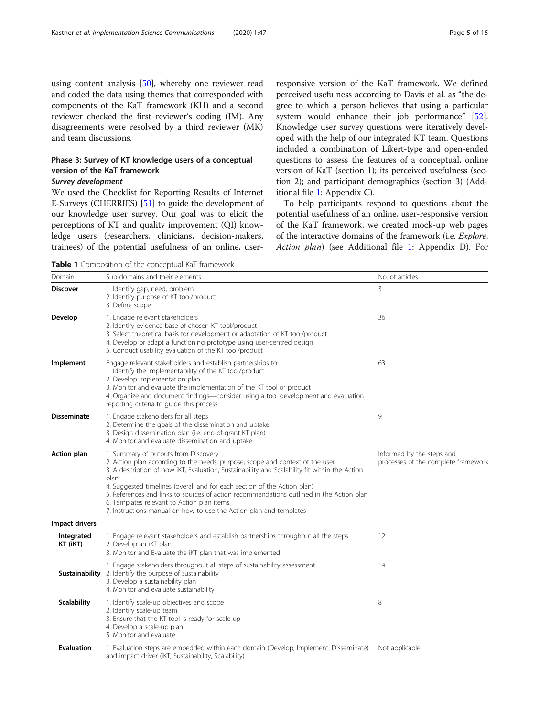<span id="page-4-0"></span>using content analysis [[50\]](#page-14-0), whereby one reviewer read and coded the data using themes that corresponded with components of the KaT framework (KH) and a second reviewer checked the first reviewer's coding (JM). Any disagreements were resolved by a third reviewer (MK) and team discussions.

# Phase 3: Survey of KT knowledge users of a conceptual version of the KaT framework

# Survey development

We used the Checklist for Reporting Results of Internet E-Surveys (CHERRIES) [\[51\]](#page-14-0) to guide the development of our knowledge user survey. Our goal was to elicit the perceptions of KT and quality improvement (QI) knowledge users (researchers, clinicians, decision-makers, trainees) of the potential usefulness of an online, user-

responsive version of the KaT framework. We defined perceived usefulness according to Davis et al. as "the degree to which a person believes that using a particular system would enhance their job performance" [\[52](#page-14-0)]. Knowledge user survey questions were iteratively developed with the help of our integrated KT team. Questions included a combination of Likert-type and open-ended questions to assess the features of a conceptual, online version of KaT (section 1); its perceived usefulness (section 2); and participant demographics (section 3) (Additional file [1:](#page-13-0) Appendix C).

To help participants respond to questions about the potential usefulness of an online, user-responsive version of the KaT framework, we created mock-up web pages of the interactive domains of the framework (i.e. Explore, Action plan) (see Additional file [1:](#page-13-0) Appendix D). For

Table 1 Composition of the conceptual KaT framework

| Domain                 | Sub-domains and their elements                                                                                                                                                                                                                                                                                                                                                                                                                                                                                             | No. of articles                                                  |
|------------------------|----------------------------------------------------------------------------------------------------------------------------------------------------------------------------------------------------------------------------------------------------------------------------------------------------------------------------------------------------------------------------------------------------------------------------------------------------------------------------------------------------------------------------|------------------------------------------------------------------|
| <b>Discover</b>        | 1. Identify gap, need, problem<br>2. Identify purpose of KT tool/product<br>3. Define scope                                                                                                                                                                                                                                                                                                                                                                                                                                | 3                                                                |
| Develop                | 1. Engage relevant stakeholders<br>2. Identify evidence base of chosen KT tool/product<br>3. Select theoretical basis for development or adaptation of KT tool/product<br>4. Develop or adapt a functioning prototype using user-centred design<br>5. Conduct usability evaluation of the KT tool/product                                                                                                                                                                                                                  | 36                                                               |
| Implement              | Engage relevant stakeholders and establish partnerships to:<br>1. Identify the implementability of the KT tool/product<br>2. Develop implementation plan<br>3. Monitor and evaluate the implementation of the KT tool or product<br>4. Organize and document findings—consider using a tool development and evaluation<br>reporting criteria to guide this process                                                                                                                                                         | 63                                                               |
| <b>Disseminate</b>     | 1. Engage stakeholders for all steps<br>2. Determine the goals of the dissemination and uptake<br>3. Design dissemination plan (i.e. end-of-grant KT plan)<br>4. Monitor and evaluate dissemination and uptake                                                                                                                                                                                                                                                                                                             | 9                                                                |
| <b>Action plan</b>     | 1. Summary of outputs from Discovery<br>2. Action plan according to the needs, purpose, scope and context of the user<br>3. A description of how iKT, Evaluation, Sustainability and Scalability fit within the Action<br>plan<br>4. Suggested timelines (overall and for each section of the Action plan)<br>5. References and links to sources of action recommendations outlined in the Action plan<br>6. Templates relevant to Action plan items<br>7. Instructions manual on how to use the Action plan and templates | Informed by the steps and<br>processes of the complete framework |
| Impact drivers         |                                                                                                                                                                                                                                                                                                                                                                                                                                                                                                                            |                                                                  |
| Integrated<br>KT (iKT) | 1. Engage relevant stakeholders and establish partnerships throughout all the steps<br>2. Develop an iKT plan<br>3. Monitor and Evaluate the iKT plan that was implemented                                                                                                                                                                                                                                                                                                                                                 | 12                                                               |
|                        | 1. Engage stakeholders throughout all steps of sustainability assessment<br><b>Sustainability</b> 2. Identify the purpose of sustainability<br>3. Develop a sustainability plan<br>4. Monitor and evaluate sustainability                                                                                                                                                                                                                                                                                                  | 14                                                               |
| <b>Scalability</b>     | 1. Identify scale-up objectives and scope<br>2. Identify scale-up team<br>3. Ensure that the KT tool is ready for scale-up<br>4. Develop a scale-up plan<br>5. Monitor and evaluate                                                                                                                                                                                                                                                                                                                                        | 8                                                                |
| <b>Evaluation</b>      | 1. Evaluation steps are embedded within each domain (Develop, Implement, Disseminate)<br>and impact driver (iKT, Sustainability, Scalability)                                                                                                                                                                                                                                                                                                                                                                              | Not applicable                                                   |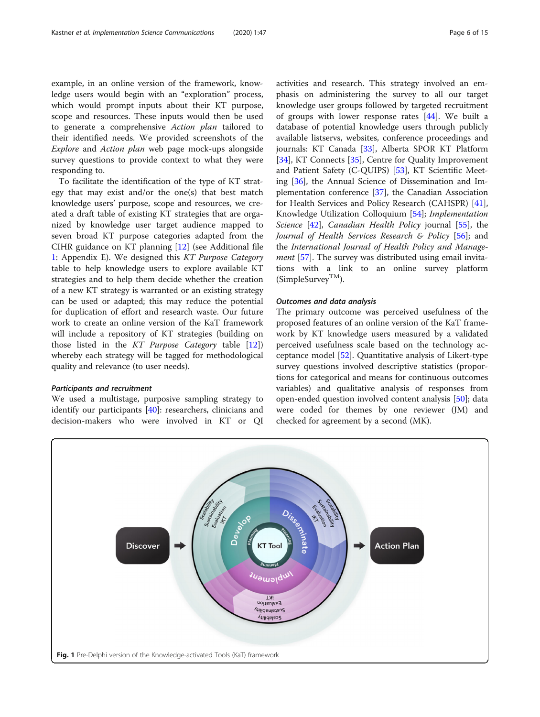<span id="page-5-0"></span>example, in an online version of the framework, knowledge users would begin with an "exploration" process, which would prompt inputs about their KT purpose, scope and resources. These inputs would then be used to generate a comprehensive Action plan tailored to their identified needs. We provided screenshots of the Explore and Action plan web page mock-ups alongside survey questions to provide context to what they were responding to.

To facilitate the identification of the type of KT strategy that may exist and/or the one(s) that best match knowledge users' purpose, scope and resources, we created a draft table of existing KT strategies that are organized by knowledge user target audience mapped to seven broad KT purpose categories adapted from the CIHR guidance on KT planning [\[12\]](#page-13-0) (see Additional file [1:](#page-13-0) Appendix E). We designed this KT Purpose Category table to help knowledge users to explore available KT strategies and to help them decide whether the creation of a new KT strategy is warranted or an existing strategy can be used or adapted; this may reduce the potential for duplication of effort and research waste. Our future work to create an online version of the KaT framework will include a repository of KT strategies (building on those listed in the KT Purpose Category table [\[12](#page-13-0)]) whereby each strategy will be tagged for methodological quality and relevance (to user needs).

#### Participants and recruitment

We used a multistage, purposive sampling strategy to identify our participants [\[40](#page-14-0)]: researchers, clinicians and decision-makers who were involved in KT or QI activities and research. This strategy involved an emphasis on administering the survey to all our target knowledge user groups followed by targeted recruitment of groups with lower response rates  $[44]$  $[44]$ . We built a database of potential knowledge users through publicly available listservs, websites, conference proceedings and journals: KT Canada [[33\]](#page-14-0), Alberta SPOR KT Platform [[34\]](#page-14-0), KT Connects [[35](#page-14-0)], Centre for Quality Improvement and Patient Safety (C-QUIPS) [[53](#page-14-0)], KT Scientific Meeting [[36](#page-14-0)], the Annual Science of Dissemination and Implementation conference [[37\]](#page-14-0), the Canadian Association for Health Services and Policy Research (CAHSPR) [\[41](#page-14-0)], Knowledge Utilization Colloquium [\[54\]](#page-14-0); Implementation Science [[42\]](#page-14-0), Canadian Health Policy journal [[55\]](#page-14-0), the Journal of Health Services Research & Policy  $[56]$  $[56]$  $[56]$ ; and the International Journal of Health Policy and Manage-ment [\[57](#page-14-0)]. The survey was distributed using email invitations with a link to an online survey platform  $(Simple Survey<sup>TM</sup>)$ .

#### Outcomes and data analysis

The primary outcome was perceived usefulness of the proposed features of an online version of the KaT framework by KT knowledge users measured by a validated perceived usefulness scale based on the technology acceptance model [[52](#page-14-0)]. Quantitative analysis of Likert-type survey questions involved descriptive statistics (proportions for categorical and means for continuous outcomes variables) and qualitative analysis of responses from open-ended question involved content analysis [\[50](#page-14-0)]; data were coded for themes by one reviewer (JM) and checked for agreement by a second (MK).

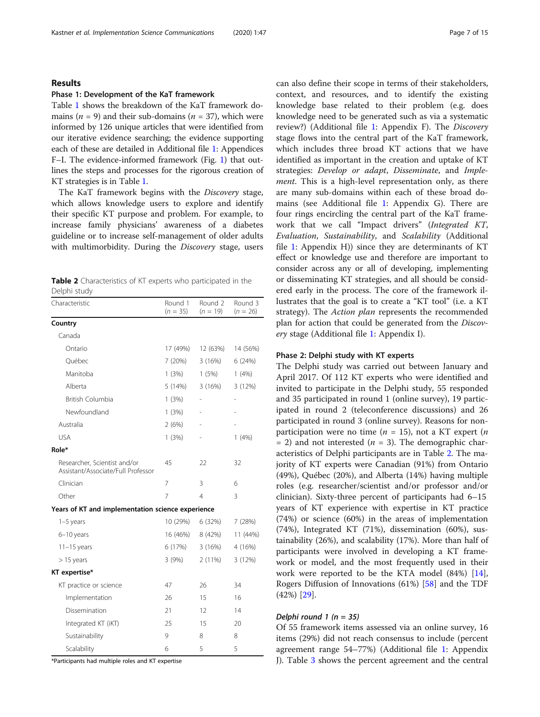#### Results

#### Phase 1: Development of the KaT framework

Table [1](#page-4-0) shows the breakdown of the KaT framework domains ( $n = 9$ ) and their sub-domains ( $n = 37$ ), which were informed by 126 unique articles that were identified from our iterative evidence searching; the evidence supporting each of these are detailed in Additional file [1:](#page-13-0) Appendices F–I. The evidence-informed framework (Fig. [1](#page-5-0)) that outlines the steps and processes for the rigorous creation of KT strategies is in Table [1](#page-4-0).

The KaT framework begins with the Discovery stage, which allows knowledge users to explore and identify their specific KT purpose and problem. For example, to increase family physicians' awareness of a diabetes guideline or to increase self-management of older adults with multimorbidity. During the Discovery stage, users

| <b>Table 2</b> Characteristics of KT experts who participated in the |  |  |
|----------------------------------------------------------------------|--|--|
| Delphi study                                                         |  |  |

| Characteristic                                                     | Round 1<br>$(n = 35)$ | Round 2<br>$(n = 19)$ | Round 3<br>$(n = 26)$ |
|--------------------------------------------------------------------|-----------------------|-----------------------|-----------------------|
| Country                                                            |                       |                       |                       |
| Canada                                                             |                       |                       |                       |
| Ontario                                                            | 17 (49%)              | 12 (63%)              | 14 (56%)              |
| Québec                                                             | 7 (20%)               | 3(16%)                | 6(24%)                |
| Manitoba                                                           | 1(3%)                 | 1(5%)                 | 1(4%)                 |
| Alberta                                                            | 5 (14%)               | 3(16%)                | 3(12%)                |
| British Columbia                                                   | 1(3%)                 |                       |                       |
| Newfoundland                                                       | 1(3%)                 |                       |                       |
| Australia                                                          | 2(6%)                 |                       |                       |
| <b>USA</b>                                                         | 1(3%)                 |                       | 1(4%)                 |
| Role*                                                              |                       |                       |                       |
| Researcher, Scientist and/or<br>Assistant/Associate/Full Professor | 45                    | 22                    | 32                    |
| Clinician                                                          | 7                     | 3                     | 6                     |
| Other                                                              | $\overline{7}$        | $\overline{4}$        | 3                     |
| Years of KT and implementation science experience                  |                       |                       |                       |
| $1-5$ years                                                        | 10 (29%)              | 6 (32%)               | 7(28%)                |
| 6-10 years                                                         | 16 (46%)              | 8 (42%)               | 11 (44%)              |
| $11-15$ years                                                      | 6 (17%)               | 3(16%)                | 4 (16%)               |
| $> 15$ years                                                       | 3(9%)                 | 2(11%)                | 3(12%)                |
| KT expertise*                                                      |                       |                       |                       |
| KT practice or science                                             | 47                    | 26                    | 34                    |
| Implementation                                                     | 26                    | 15                    | 16                    |
| Dissemination                                                      | 21                    | 12                    | 14                    |
| Integrated KT (iKT)                                                | 25                    | 15                    | 20                    |
| Sustainability                                                     | 9                     | 8                     | 8                     |
| Scalability                                                        | 6                     | 5                     | 5                     |

\*Participants had multiple roles and KT expertise

can also define their scope in terms of their stakeholders, context, and resources, and to identify the existing knowledge base related to their problem (e.g. does knowledge need to be generated such as via a systematic review?) (Additional file [1](#page-13-0): Appendix F). The Discovery stage flows into the central part of the KaT framework, which includes three broad KT actions that we have identified as important in the creation and uptake of KT strategies: Develop or adapt, Disseminate, and Implement. This is a high-level representation only, as there are many sub-domains within each of these broad domains (see Additional file [1](#page-13-0): Appendix G). There are four rings encircling the central part of the KaT framework that we call "Impact drivers" (Integrated KT, Evaluation, Sustainability, and Scalability (Additional file [1:](#page-13-0) Appendix H)) since they are determinants of KT effect or knowledge use and therefore are important to consider across any or all of developing, implementing or disseminating KT strategies, and all should be considered early in the process. The core of the framework illustrates that the goal is to create a "KT tool" (i.e. a KT strategy). The *Action plan* represents the recommended plan for action that could be generated from the Discovery stage (Additional file [1:](#page-13-0) Appendix I).

#### Phase 2: Delphi study with KT experts

The Delphi study was carried out between January and April 2017. Of 112 KT experts who were identified and invited to participate in the Delphi study, 55 responded and 35 participated in round 1 (online survey), 19 participated in round 2 (teleconference discussions) and 26 participated in round 3 (online survey). Reasons for nonparticipation were no time ( $n = 15$ ), not a KT expert (*n*  $= 2$ ) and not interested (*n* = 3). The demographic characteristics of Delphi participants are in Table 2. The majority of KT experts were Canadian (91%) from Ontario (49%), Québec (20%), and Alberta (14%) having multiple roles (e.g. researcher/scientist and/or professor and/or clinician). Sixty-three percent of participants had 6–15 years of KT experience with expertise in KT practice (74%) or science (60%) in the areas of implementation (74%), Integrated KT (71%), dissemination (60%), sustainability (26%), and scalability (17%). More than half of participants were involved in developing a KT framework or model, and the most frequently used in their work were reported to be the KTA model (84%) [\[14](#page-14-0)], Rogers Diffusion of Innovations (61%) [[58\]](#page-14-0) and the TDF (42%) [[29\]](#page-14-0).

# Delphi round  $1$  ( $n = 35$ )

Of 55 framework items assessed via an online survey, 16 items (29%) did not reach consensus to include (percent agreement range 54–77%) (Additional file [1](#page-13-0): Appendix J). Table [3](#page-7-0) shows the percent agreement and the central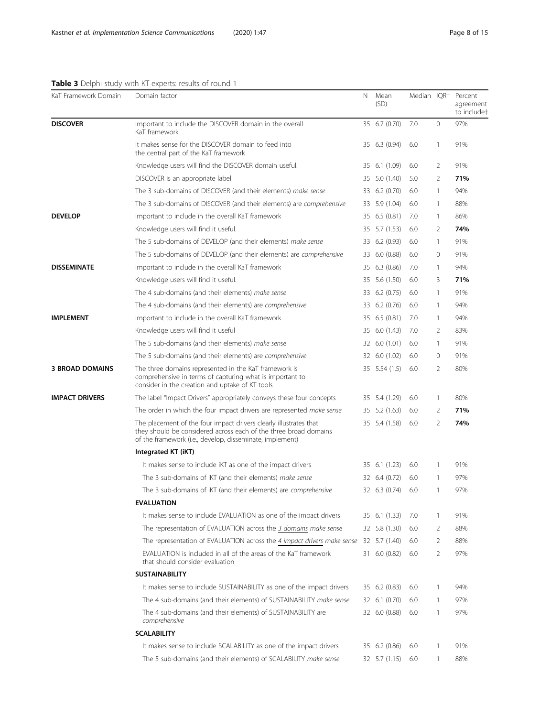# <span id="page-7-0"></span>Table 3 Delphi study with KT experts: results of round 1

| KaT Framework Domain   | Domain factor                                                                                                                                                                                     | N  | Mean<br>(SD)  |     |                | Median IQR† Percent<br>agreement<br>to include‡ |
|------------------------|---------------------------------------------------------------------------------------------------------------------------------------------------------------------------------------------------|----|---------------|-----|----------------|-------------------------------------------------|
| <b>DISCOVER</b>        | Important to include the DISCOVER domain in the overall<br>KaT framework                                                                                                                          |    | 35 6.7 (0.70) | 7.0 | 0              | 97%                                             |
|                        | It makes sense for the DISCOVER domain to feed into<br>the central part of the KaT framework                                                                                                      |    | 35 6.3 (0.94) | 6.0 | $\mathbf{1}$   | 91%                                             |
|                        | Knowledge users will find the DISCOVER domain useful.                                                                                                                                             |    | 35 6.1 (1.09) | 6.0 | 2              | 91%                                             |
|                        | DISCOVER is an appropriate label                                                                                                                                                                  |    | 35 5.0 (1.40) | 5.0 | 2              | 71%                                             |
|                        | The 3 sub-domains of DISCOVER (and their elements) make sense                                                                                                                                     |    | 33 6.2 (0.70) | 6.0 | 1              | 94%                                             |
|                        | The 3 sub-domains of DISCOVER (and their elements) are comprehensive                                                                                                                              | 33 | 5.9 (1.04)    | 6.0 | $\mathbf{1}$   | 88%                                             |
| <b>DEVELOP</b>         | Important to include in the overall KaT framework                                                                                                                                                 |    | 35 6.5 (0.81) | 7.0 | 1              | 86%                                             |
|                        | Knowledge users will find it useful.                                                                                                                                                              |    | 35 5.7 (1.53) | 6.0 | 2              | 74%                                             |
|                        | The 5 sub-domains of DEVELOP (and their elements) make sense                                                                                                                                      |    | 33 6.2 (0.93) | 6.0 | $\mathbf{1}$   | 91%                                             |
|                        | The 5 sub-domains of DEVELOP (and their elements) are comprehensive                                                                                                                               |    | 33 6.0 (0.88) | 6.0 | 0              | 91%                                             |
| <b>DISSEMINATE</b>     | Important to include in the overall KaT framework                                                                                                                                                 | 35 | 6.3(0.86)     | 7.0 | $\mathbf{1}$   | 94%                                             |
|                        | Knowledge users will find it useful.                                                                                                                                                              |    | 35 5.6 (1.50) | 6.0 | 3              | 71%                                             |
|                        | The 4 sub-domains (and their elements) make sense                                                                                                                                                 |    | 33 6.2 (0.75) | 6.0 | $\mathbf{1}$   | 91%                                             |
|                        | The 4 sub-domains (and their elements) are comprehensive                                                                                                                                          |    | 33 6.2 (0.76) | 6.0 | 1              | 94%                                             |
| <b>IMPLEMENT</b>       | Important to include in the overall KaT framework                                                                                                                                                 |    | 35 6.5 (0.81) | 7.0 | $\mathbf{1}$   | 94%                                             |
|                        | Knowledge users will find it useful                                                                                                                                                               |    | 35 6.0 (1.43) | 7.0 | 2              | 83%                                             |
|                        | The 5 sub-domains (and their elements) make sense                                                                                                                                                 |    | 32 6.0 (1.01) | 6.0 | 1              | 91%                                             |
|                        | The 5 sub-domains (and their elements) are comprehensive                                                                                                                                          |    | 32 6.0 (1.02) | 6.0 | 0              | 91%                                             |
| <b>3 BROAD DOMAINS</b> | The three domains represented in the KaT framework is<br>comprehensive in terms of capturing what is important to<br>consider in the creation and uptake of KT tools                              |    | 35 5.54 (1.5) | 6.0 | $\overline{2}$ | 80%                                             |
| <b>IMPACT DRIVERS</b>  | The label "Impact Drivers" appropriately conveys these four concepts                                                                                                                              |    | 35 5.4 (1.29) | 6.0 | 1              | 80%                                             |
|                        | The order in which the four impact drivers are represented make sense                                                                                                                             |    | 35 5.2 (1.63) | 6.0 | 2              | 71%                                             |
|                        | The placement of the four impact drivers clearly illustrates that<br>they should be considered across each of the three broad domains<br>of the framework (i.e., develop, disseminate, implement) |    | 35 5.4 (1.58) | 6.0 | $\overline{2}$ | 74%                                             |
|                        | Integrated KT (iKT)                                                                                                                                                                               |    |               |     |                |                                                 |
|                        | It makes sense to include iKT as one of the impact drivers                                                                                                                                        |    | 35 6.1 (1.23) | 6.0 | $\mathbf{1}$   | 91%                                             |
|                        | The 3 sub-domains of iKT (and their elements) make sense                                                                                                                                          |    | 32 6.4 (0.72) | 6.0 | 1              | 97%                                             |
|                        | The 3 sub-domains of iKT (and their elements) are comprehensive                                                                                                                                   |    | 32 6.3 (0.74) | 6.0 | $\mathbf{1}$   | 97%                                             |
|                        | <b>EVALUATION</b>                                                                                                                                                                                 |    |               |     |                |                                                 |
|                        | It makes sense to include EVALUATION as one of the impact drivers                                                                                                                                 |    | 35 6.1 (1.33) | 7.0 | 1              | 91%                                             |
|                        | The representation of EVALUATION across the 3 domains make sense                                                                                                                                  |    | 32 5.8 (1.30) | 6.0 | 2              | 88%                                             |
|                        | The representation of EVALUATION across the 4 impact drivers make sense                                                                                                                           |    | 32 5.7 (1.40) | 6.0 | 2              | 88%                                             |
|                        | EVALUATION is included in all of the areas of the KaT framework<br>that should consider evaluation                                                                                                |    | 31 6.0 (0.82) | 6.0 | 2              | 97%                                             |
|                        | <b>SUSTAINABILITY</b>                                                                                                                                                                             |    |               |     |                |                                                 |
|                        | It makes sense to include SUSTAINABILITY as one of the impact drivers                                                                                                                             |    | 35 6.2 (0.83) | 6.0 | 1              | 94%                                             |
|                        | The 4 sub-domains (and their elements) of SUSTAINABILITY make sense                                                                                                                               |    | 32 6.1 (0.70) | 6.0 | $\mathbf{1}$   | 97%                                             |
|                        | The 4 sub-domains (and their elements) of SUSTAINABILITY are<br>comprehensive                                                                                                                     |    | 32 6.0 (0.88) | 6.0 | $\mathbf{1}$   | 97%                                             |
|                        | <b>SCALABILITY</b>                                                                                                                                                                                |    |               |     |                |                                                 |
|                        | It makes sense to include SCALABILITY as one of the impact drivers                                                                                                                                |    | 35 6.2 (0.86) | 6.0 | 1              | 91%                                             |
|                        | The 5 sub-domains (and their elements) of SCALABILITY make sense                                                                                                                                  |    | 32 5.7 (1.15) | 6.0 | $\mathbf{1}$   | 88%                                             |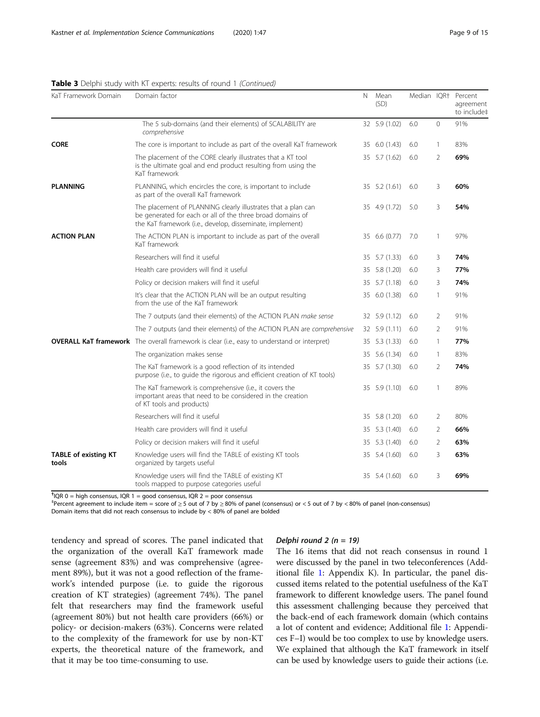| KaT Framework Domain                 | Domain factor                                                                                                                                                                            | N | Mean<br>(SD)  |     |                | Median IQR† Percent<br>agreement<br>to include‡ |
|--------------------------------------|------------------------------------------------------------------------------------------------------------------------------------------------------------------------------------------|---|---------------|-----|----------------|-------------------------------------------------|
|                                      | The 5 sub-domains (and their elements) of SCALABILITY are<br>comprehensive                                                                                                               |   | 32 5.9 (1.02) | 6.0 | $\mathbf{0}$   | 91%                                             |
| <b>CORE</b>                          | The core is important to include as part of the overall KaT framework                                                                                                                    |   | 35 6.0 (1.43) | 6.0 | 1              | 83%                                             |
|                                      | The placement of the CORE clearly illustrates that a KT tool<br>is the ultimate goal and end product resulting from using the<br>KaT framework                                           |   | 35 5.7 (1.62) | 6.0 | $\overline{2}$ | 69%                                             |
| <b>PLANNING</b>                      | PLANNING, which encircles the core, is important to include<br>as part of the overall KaT framework                                                                                      |   | 35 5.2 (1.61) | 6.0 | 3              | 60%                                             |
|                                      | The placement of PLANNING clearly illustrates that a plan can<br>be generated for each or all of the three broad domains of<br>the KaT framework (i.e., develop, disseminate, implement) |   | 35 4.9 (1.72) | 5.0 | 3              | 54%                                             |
| <b>ACTION PLAN</b>                   | The ACTION PLAN is important to include as part of the overall<br>KaT framework                                                                                                          |   | 35 6.6 (0.77) | 7.0 | $\mathbf{1}$   | 97%                                             |
|                                      | Researchers will find it useful                                                                                                                                                          |   | 35 5.7 (1.33) | 6.0 | 3              | 74%                                             |
|                                      | Health care providers will find it useful                                                                                                                                                |   | 35 5.8 (1.20) | 6.0 | 3              | 77%                                             |
|                                      | Policy or decision makers will find it useful                                                                                                                                            |   | 35 5.7 (1.18) | 6.0 | 3              | 74%                                             |
|                                      | It's clear that the ACTION PLAN will be an output resulting<br>from the use of the KaT framework                                                                                         |   | 35 6.0 (1.38) | 6.0 | $\overline{1}$ | 91%                                             |
|                                      | The 7 outputs (and their elements) of the ACTION PLAN make sense                                                                                                                         |   | 32 5.9 (1.12) | 6.0 | 2              | 91%                                             |
|                                      | The 7 outputs (and their elements) of the ACTION PLAN are comprehensive                                                                                                                  |   | 32 5.9 (1.11) | 6.0 | 2              | 91%                                             |
|                                      | <b>OVERALL KaT framework</b> The overall framework is clear (i.e., easy to understand or interpret)                                                                                      |   | 35 5.3 (1.33) | 6.0 | $\mathbf{1}$   | 77%                                             |
|                                      | The organization makes sense                                                                                                                                                             |   | 35 5.6 (1.34) | 6.0 | $\mathbf{1}$   | 83%                                             |
|                                      | The KaT framework is a good reflection of its intended<br>purpose (i.e., to quide the rigorous and efficient creation of KT tools)                                                       |   | 35 5.7 (1.30) | 6.0 | $\overline{2}$ | 74%                                             |
|                                      | The KaT framework is comprehensive (i.e., it covers the<br>important areas that need to be considered in the creation<br>of KT tools and products)                                       |   | 35 5.9 (1.10) | 6.0 | $\mathbf{1}$   | 89%                                             |
|                                      | Researchers will find it useful                                                                                                                                                          |   | 35 5.8 (1.20) | 6.0 | 2              | 80%                                             |
|                                      | Health care providers will find it useful                                                                                                                                                |   | 35 5.3 (1.40) | 6.0 | $\overline{2}$ | 66%                                             |
|                                      | Policy or decision makers will find it useful                                                                                                                                            |   | 35 5.3 (1.40) | 6.0 | $\overline{2}$ | 63%                                             |
| <b>TABLE of existing KT</b><br>tools | Knowledge users will find the TABLE of existing KT tools<br>organized by targets useful                                                                                                  |   | 35 5.4 (1.60) | 6.0 | 3              | 63%                                             |
|                                      | Knowledge users will find the TABLE of existing KT<br>tools mapped to purpose categories useful                                                                                          |   | 35 5.4 (1.60) | 6.0 | 3              | 69%                                             |

| Table 3 Delphi study with KT experts: results of round 1 (Continued) |  |  |
|----------------------------------------------------------------------|--|--|
|----------------------------------------------------------------------|--|--|

<sup>†</sup>IQR 0 = high consensus, IQR 1 = good consensus, IQR 2 = poor consensus

‡ Percent agreement to include item = score of ≥ 5 out of 7 by ≥ 80% of panel (consensus) or < 5 out of 7 by < 80% of panel (non-consensus)

Domain items that did not reach consensus to include by < 80% of panel are bolded

tendency and spread of scores. The panel indicated that the organization of the overall KaT framework made sense (agreement 83%) and was comprehensive (agreement 89%), but it was not a good reflection of the framework's intended purpose (i.e. to guide the rigorous creation of KT strategies) (agreement 74%). The panel felt that researchers may find the framework useful (agreement 80%) but not health care providers (66%) or policy- or decision-makers (63%). Concerns were related to the complexity of the framework for use by non-KT experts, the theoretical nature of the framework, and that it may be too time-consuming to use.

#### Delphi round 2 ( $n = 19$ )

The 16 items that did not reach consensus in round 1 were discussed by the panel in two teleconferences (Additional file [1:](#page-13-0) Appendix K). In particular, the panel discussed items related to the potential usefulness of the KaT framework to different knowledge users. The panel found this assessment challenging because they perceived that the back-end of each framework domain (which contains a lot of content and evidence; Additional file [1](#page-13-0): Appendices F–I) would be too complex to use by knowledge users. We explained that although the KaT framework in itself can be used by knowledge users to guide their actions (i.e.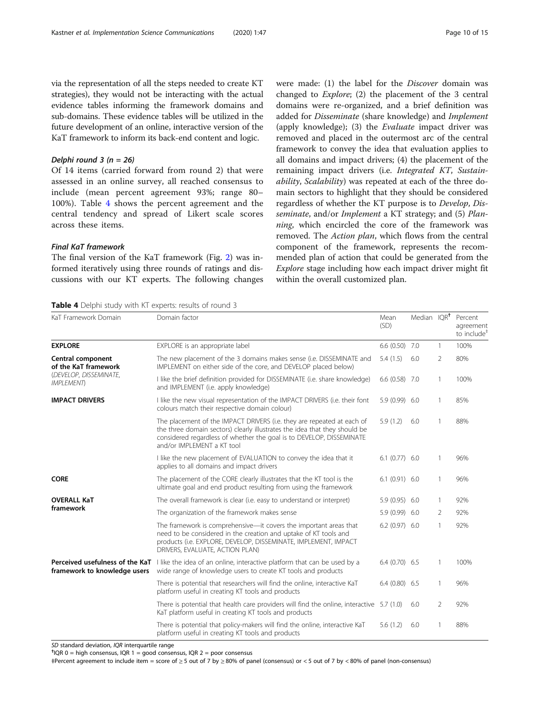via the representation of all the steps needed to create KT strategies), they would not be interacting with the actual evidence tables informing the framework domains and sub-domains. These evidence tables will be utilized in the future development of an online, interactive version of the KaT framework to inform its back-end content and logic.

#### Delphi round 3 ( $n = 26$ )

Of 14 items (carried forward from round 2) that were assessed in an online survey, all reached consensus to include (mean percent agreement 93%; range 80– 100%). Table 4 shows the percent agreement and the central tendency and spread of Likert scale scores across these items.

## Final KaT framework

The final version of the KaT framework (Fig. [2\)](#page-10-0) was informed iteratively using three rounds of ratings and discussions with our KT experts. The following changes

Table 4 Delphi study with KT experts: results of round 3

were made: (1) the label for the Discover domain was changed to Explore; (2) the placement of the 3 central domains were re-organized, and a brief definition was added for Disseminate (share knowledge) and Implement (apply knowledge); (3) the Evaluate impact driver was removed and placed in the outermost arc of the central framework to convey the idea that evaluation applies to all domains and impact drivers; (4) the placement of the remaining impact drivers (i.e. Integrated KT, Sustainability, Scalability) was repeated at each of the three domain sectors to highlight that they should be considered regardless of whether the KT purpose is to Develop, Disseminate, and/or Implement a KT strategy; and (5) Planning, which encircled the core of the framework was removed. The Action plan, which flows from the central component of the framework, represents the recommended plan of action that could be generated from the Explore stage including how each impact driver might fit within the overall customized plan.

| KaT Framework Domain                                            | Domain factor                                                                                                                                                                                                                                              | Mean<br>(SD)    | Median IQR <sup>+</sup> |                | Percent<br>agreement<br>to include <sup>#</sup> |
|-----------------------------------------------------------------|------------------------------------------------------------------------------------------------------------------------------------------------------------------------------------------------------------------------------------------------------------|-----------------|-------------------------|----------------|-------------------------------------------------|
| <b>EXPLORE</b>                                                  | EXPLORE is an appropriate label                                                                                                                                                                                                                            | $6.6(0.50)$ 7.0 |                         | 1              | 100%                                            |
| Central component<br>of the KaT framework                       | The new placement of the 3 domains makes sense (i.e. DISSEMINATE and<br>IMPLEMENT on either side of the core, and DEVELOP placed below)                                                                                                                    | 5.4(1.5)        | 6.0                     | $\overline{2}$ | 80%                                             |
| (DEVELOP, DISSEMINATE,<br><b>IMPLEMENT</b>                      | I like the brief definition provided for DISSEMINATE (i.e. share knowledge)<br>and IMPLEMENT (i.e. apply knowledge)                                                                                                                                        | $6.6(0.58)$ 7.0 |                         | 1              | 100%                                            |
| <b>IMPACT DRIVERS</b>                                           | I like the new visual representation of the IMPACT DRIVERS (i.e. their font<br>colours match their respective domain colour)                                                                                                                               | $5.9(0.99)$ 6.0 |                         | 1              | 85%                                             |
|                                                                 | The placement of the IMPACT DRIVERS (i.e. they are repeated at each of<br>the three domain sectors) clearly illustrates the idea that they should be<br>considered regardless of whether the goal is to DEVELOP, DISSEMINATE<br>and/or IMPLEMENT a KT tool | 5.9(1.2)        | 6.0                     | 1              | 88%                                             |
|                                                                 | I like the new placement of EVALUATION to convey the idea that it<br>applies to all domains and impact drivers                                                                                                                                             | $6.1(0.77)$ 6.0 |                         | 1              | 96%                                             |
| <b>CORE</b>                                                     | The placement of the CORE clearly illustrates that the KT tool is the<br>ultimate goal and end product resulting from using the framework                                                                                                                  | $6.1(0.91)$ 6.0 |                         | 1              | 96%                                             |
| <b>OVERALL KaT</b>                                              | The overall framework is clear (i.e. easy to understand or interpret)                                                                                                                                                                                      | 5.9 (0.95) 6.0  |                         | 1              | 92%                                             |
| framework                                                       | The organization of the framework makes sense                                                                                                                                                                                                              | 5.9 (0.99) 6.0  |                         | 2              | 92%                                             |
|                                                                 | The framework is comprehensive—it covers the important areas that<br>need to be considered in the creation and uptake of KT tools and<br>products (i.e. EXPLORE, DEVELOP, DISSEMINATE, IMPLEMENT, IMPACT<br>DRIVERS, EVALUATE, ACTION PLAN)                | $6.2(0.97)$ 6.0 |                         | 1              | 92%                                             |
| Perceived usefulness of the KaT<br>framework to knowledge users | I like the idea of an online, interactive platform that can be used by a<br>wide range of knowledge users to create KT tools and products                                                                                                                  | $6.4(0.70)$ 6.5 |                         | 1              | 100%                                            |
|                                                                 | There is potential that researchers will find the online, interactive KaT<br>platform useful in creating KT tools and products                                                                                                                             | $6.4(0.80)$ 6.5 |                         | 1              | 96%                                             |
|                                                                 | There is potential that health care providers will find the online, interactive $5.7(1.0)$<br>KaT platform useful in creating KT tools and products                                                                                                        |                 | 6.0                     | $\overline{2}$ | 92%                                             |
|                                                                 | There is potential that policy-makers will find the online, interactive KaT<br>platform useful in creating KT tools and products                                                                                                                           | 5.6(1.2)        | 6.0                     |                | 88%                                             |

SD standard deviation, IQR interquartile range

 $<sup>†</sup> IQR 0 = high consensus, IQR 1 = good consensus, IQR 2 = poor consensus$ </sup>

‡Percent agreement to include item = score of ≥ 5 out of 7 by ≥ 80% of panel (consensus) or < 5 out of 7 by < 80% of panel (non-consensus)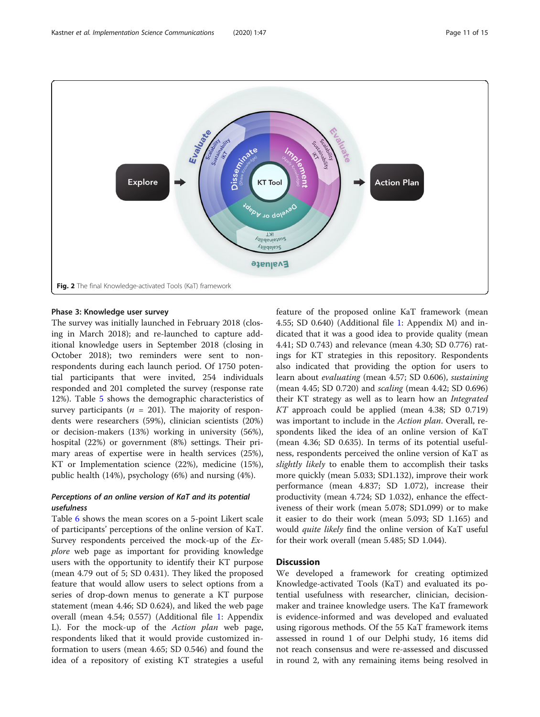<span id="page-10-0"></span>

# Phase 3: Knowledge user survey

The survey was initially launched in February 2018 (closing in March 2018); and re-launched to capture additional knowledge users in September 2018 (closing in October 2018); two reminders were sent to nonrespondents during each launch period. Of 1750 potential participants that were invited, 254 individuals responded and 201 completed the survey (response rate 12%). Table [5](#page-11-0) shows the demographic characteristics of survey participants ( $n = 201$ ). The majority of respondents were researchers (59%), clinician scientists (20%) or decision-makers (13%) working in university (56%), hospital (22%) or government (8%) settings. Their primary areas of expertise were in health services (25%), KT or Implementation science (22%), medicine (15%), public health (14%), psychology (6%) and nursing (4%).

# Perceptions of an online version of KaT and its potential usefulness

Table [6](#page-12-0) shows the mean scores on a 5-point Likert scale of participants' perceptions of the online version of KaT. Survey respondents perceived the mock-up of the Explore web page as important for providing knowledge users with the opportunity to identify their KT purpose (mean 4.79 out of 5; SD 0.431). They liked the proposed feature that would allow users to select options from a series of drop-down menus to generate a KT purpose statement (mean 4.46; SD 0.624), and liked the web page overall (mean 4.54; 0.557) (Additional file [1](#page-13-0): Appendix L). For the mock-up of the Action plan web page, respondents liked that it would provide customized information to users (mean 4.65; SD 0.546) and found the idea of a repository of existing KT strategies a useful feature of the proposed online KaT framework (mean 4.55; SD 0.640) (Additional file [1:](#page-13-0) Appendix M) and indicated that it was a good idea to provide quality (mean 4.41; SD 0.743) and relevance (mean 4.30; SD 0.776) ratings for KT strategies in this repository. Respondents also indicated that providing the option for users to learn about evaluating (mean 4.57; SD 0.606), sustaining (mean 4.45; SD 0.720) and scaling (mean 4.42; SD 0.696) their KT strategy as well as to learn how an Integrated KT approach could be applied (mean 4.38; SD 0.719) was important to include in the Action plan. Overall, respondents liked the idea of an online version of KaT (mean 4.36; SD 0.635). In terms of its potential usefulness, respondents perceived the online version of KaT as slightly likely to enable them to accomplish their tasks more quickly (mean 5.033; SD1.132), improve their work performance (mean 4.837; SD 1.072), increase their productivity (mean 4.724; SD 1.032), enhance the effectiveness of their work (mean 5.078; SD1.099) or to make it easier to do their work (mean 5.093; SD 1.165) and would quite likely find the online version of KaT useful for their work overall (mean 5.485; SD 1.044).

# **Discussion**

We developed a framework for creating optimized Knowledge-activated Tools (KaT) and evaluated its potential usefulness with researcher, clinician, decisionmaker and trainee knowledge users. The KaT framework is evidence-informed and was developed and evaluated using rigorous methods. Of the 55 KaT framework items assessed in round 1 of our Delphi study, 16 items did not reach consensus and were re-assessed and discussed in round 2, with any remaining items being resolved in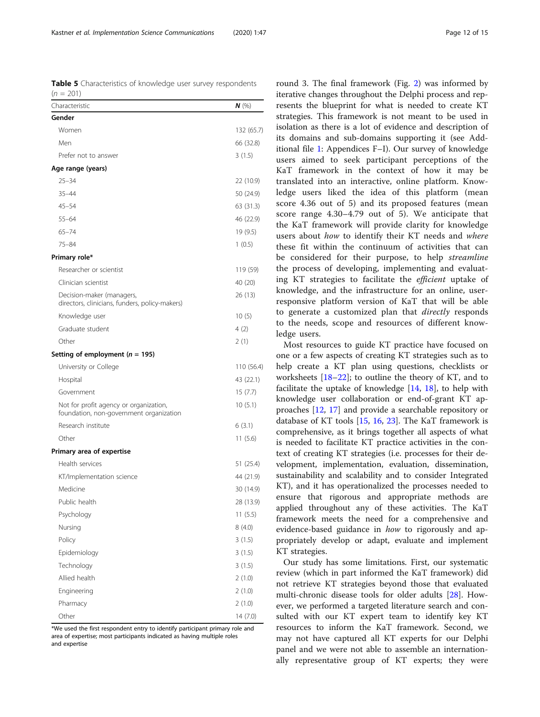<span id="page-11-0"></span>Table 5 Characteristics of knowledge user survey respondents  $(n = 201)$ 

| Characteristic                                                                    | $N$ (%)    |
|-----------------------------------------------------------------------------------|------------|
| Gender                                                                            |            |
| Women                                                                             | 132 (65.7) |
| Men                                                                               | 66 (32.8)  |
| Prefer not to answer                                                              | 3(1.5)     |
| Age range (years)                                                                 |            |
| $25 - 34$                                                                         | 22 (10.9)  |
| $35 - 44$                                                                         | 50 (24.9)  |
| $45 - 54$                                                                         | 63 (31.3)  |
| $55 - 64$                                                                         | 46 (22.9)  |
| $65 - 74$                                                                         | 19(9.5)    |
| $75 - 84$                                                                         | 1(0.5)     |
| Primary role*                                                                     |            |
| Researcher or scientist                                                           | 119 (59)   |
| Clinician scientist                                                               | 40 (20)    |
| Decision-maker (managers,<br>directors, clinicians, funders, policy-makers)       | 26 (13)    |
| Knowledge user                                                                    | 10(5)      |
| Graduate student                                                                  | 4 (2)      |
| Other                                                                             | 2(1)       |
| Setting of employment ( $n = 195$ )                                               |            |
| University or College                                                             | 110 (56.4) |
| Hospital                                                                          | 43 (22.1)  |
| Government                                                                        | 15(7.7)    |
| Not for profit agency or organization,<br>foundation, non-government organization | 10(5.1)    |
| Research institute                                                                | 6(3.1)     |
| Other                                                                             | 11(5.6)    |
| Primary area of expertise                                                         |            |
| Health services                                                                   | 51 (25.4)  |
| KT/Implementation science                                                         | 44 (21.9)  |
| Medicine                                                                          | 30 (14.9)  |
| Public health                                                                     | 28 (13.9)  |
| Psychology                                                                        | 11(5.5)    |
| Nursing                                                                           | 8(4.0)     |
| Policy                                                                            | 3(1.5)     |
| Epidemiology                                                                      | 3(1.5)     |
| Technology                                                                        | 3(1.5)     |
| Allied health                                                                     | 2(1.0)     |
| Engineering                                                                       | 2(1.0)     |
| Pharmacy                                                                          | 2(1.0)     |
| Other                                                                             | 14(7.0)    |

\*We used the first respondent entry to identify participant primary role and area of expertise; most participants indicated as having multiple roles and expertise

round 3. The final framework (Fig. [2](#page-10-0)) was informed by iterative changes throughout the Delphi process and represents the blueprint for what is needed to create KT strategies. This framework is not meant to be used in isolation as there is a lot of evidence and description of its domains and sub-domains supporting it (see Additional file [1:](#page-13-0) Appendices F–I). Our survey of knowledge users aimed to seek participant perceptions of the KaT framework in the context of how it may be translated into an interactive, online platform. Knowledge users liked the idea of this platform (mean score 4.36 out of 5) and its proposed features (mean score range 4.30–4.79 out of 5). We anticipate that the KaT framework will provide clarity for knowledge users about how to identify their KT needs and where these fit within the continuum of activities that can be considered for their purpose, to help streamline the process of developing, implementing and evaluating KT strategies to facilitate the efficient uptake of knowledge, and the infrastructure for an online, userresponsive platform version of KaT that will be able to generate a customized plan that *directly* responds to the needs, scope and resources of different knowledge users.

Most resources to guide KT practice have focused on one or a few aspects of creating KT strategies such as to help create a KT plan using questions, checklists or worksheets [[18](#page-14-0)–[22](#page-14-0)]; to outline the theory of KT, and to facilitate the uptake of knowledge [[14,](#page-14-0) [18](#page-14-0)], to help with knowledge user collaboration or end-of-grant KT approaches [[12](#page-13-0), [17\]](#page-14-0) and provide a searchable repository or database of KT tools [\[15](#page-14-0), [16](#page-14-0), [23](#page-14-0)]. The KaT framework is comprehensive, as it brings together all aspects of what is needed to facilitate KT practice activities in the context of creating KT strategies (i.e. processes for their development, implementation, evaluation, dissemination, sustainability and scalability and to consider Integrated KT), and it has operationalized the processes needed to ensure that rigorous and appropriate methods are applied throughout any of these activities. The KaT framework meets the need for a comprehensive and evidence-based guidance in how to rigorously and appropriately develop or adapt, evaluate and implement KT strategies.

Our study has some limitations. First, our systematic review (which in part informed the KaT framework) did not retrieve KT strategies beyond those that evaluated multi-chronic disease tools for older adults [[28\]](#page-14-0). However, we performed a targeted literature search and consulted with our KT expert team to identify key KT resources to inform the KaT framework. Second, we may not have captured all KT experts for our Delphi panel and we were not able to assemble an internationally representative group of KT experts; they were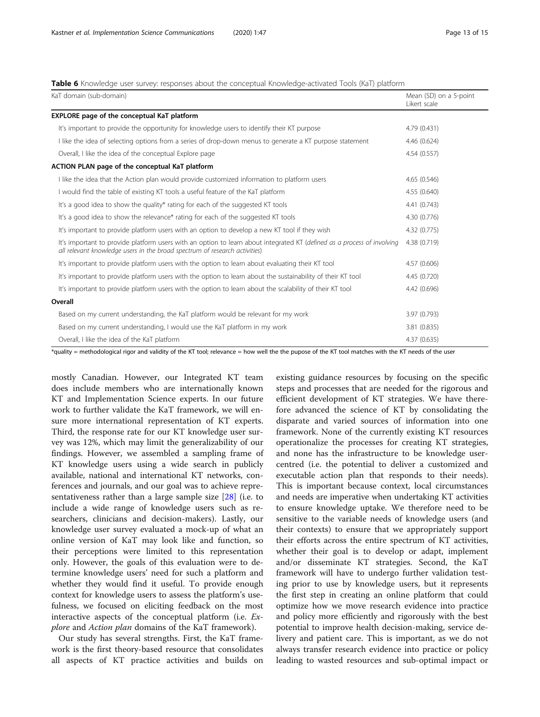#### <span id="page-12-0"></span>Table 6 Knowledge user survey: responses about the conceptual Knowledge-activated Tools (KaT) platform

| KaT domain (sub-domain)                                                                                                                                                                               | Mean (SD) on a 5-point<br>Likert scale |
|-------------------------------------------------------------------------------------------------------------------------------------------------------------------------------------------------------|----------------------------------------|
| <b>EXPLORE</b> page of the conceptual KaT platform                                                                                                                                                    |                                        |
| It's important to provide the opportunity for knowledge users to identify their KT purpose                                                                                                            | 4.79 (0.431)                           |
| I like the idea of selecting options from a series of drop-down menus to generate a KT purpose statement                                                                                              | 4.46 (0.624)                           |
| Overall, I like the idea of the conceptual Explore page                                                                                                                                               | 4.54 (0.557)                           |
| ACTION PLAN page of the conceptual KaT platform                                                                                                                                                       |                                        |
| I like the idea that the Action plan would provide customized information to platform users                                                                                                           | 4.65(0.546)                            |
| I would find the table of existing KT tools a useful feature of the KaT platform                                                                                                                      | 4.55 (0.640)                           |
| It's a good idea to show the quality* rating for each of the suggested KT tools                                                                                                                       | 4.41 (0.743)                           |
| It's a good idea to show the relevance* rating for each of the suggested KT tools                                                                                                                     | 4.30 (0.776)                           |
| It's important to provide platform users with an option to develop a new KT tool if they wish                                                                                                         | 4.32 (0.775)                           |
| It's important to provide platform users with an option to learn about integrated KT (defined as a process of involving<br>all relevant knowledge users in the broad spectrum of research activities) | 4.38 (0.719)                           |
| It's important to provide platform users with the option to learn about evaluating their KT tool                                                                                                      | 4.57 (0.606)                           |
| It's important to provide platform users with the option to learn about the sustainability of their KT tool                                                                                           | 4.45 (0.720)                           |
| It's important to provide platform users with the option to learn about the scalability of their KT tool                                                                                              | 4.42 (0.696)                           |
| Overall                                                                                                                                                                                               |                                        |
| Based on my current understanding, the KaT platform would be relevant for my work                                                                                                                     | 3.97 (0.793)                           |
| Based on my current understanding, I would use the KaT platform in my work                                                                                                                            | 3.81 (0.835)                           |
| Overall, I like the idea of the KaT platform                                                                                                                                                          | 4.37 (0.635)                           |

\*quality = methodological rigor and validity of the KT tool; relevance = how well the the pupose of the KT tool matches with the KT needs of the user

mostly Canadian. However, our Integrated KT team does include members who are internationally known KT and Implementation Science experts. In our future work to further validate the KaT framework, we will ensure more international representation of KT experts. Third, the response rate for our KT knowledge user survey was 12%, which may limit the generalizability of our findings. However, we assembled a sampling frame of KT knowledge users using a wide search in publicly available, national and international KT networks, conferences and journals, and our goal was to achieve representativeness rather than a large sample size [[28\]](#page-14-0) (i.e. to include a wide range of knowledge users such as researchers, clinicians and decision-makers). Lastly, our knowledge user survey evaluated a mock-up of what an online version of KaT may look like and function, so their perceptions were limited to this representation only. However, the goals of this evaluation were to determine knowledge users' need for such a platform and whether they would find it useful. To provide enough context for knowledge users to assess the platform's usefulness, we focused on eliciting feedback on the most interactive aspects of the conceptual platform (i.e. Explore and Action plan domains of the KaT framework).

Our study has several strengths. First, the KaT framework is the first theory-based resource that consolidates all aspects of KT practice activities and builds on

existing guidance resources by focusing on the specific steps and processes that are needed for the rigorous and efficient development of KT strategies. We have therefore advanced the science of KT by consolidating the disparate and varied sources of information into one framework. None of the currently existing KT resources operationalize the processes for creating KT strategies, and none has the infrastructure to be knowledge usercentred (i.e. the potential to deliver a customized and executable action plan that responds to their needs). This is important because context, local circumstances and needs are imperative when undertaking KT activities to ensure knowledge uptake. We therefore need to be sensitive to the variable needs of knowledge users (and their contexts) to ensure that we appropriately support their efforts across the entire spectrum of KT activities, whether their goal is to develop or adapt, implement and/or disseminate KT strategies. Second, the KaT framework will have to undergo further validation testing prior to use by knowledge users, but it represents the first step in creating an online platform that could optimize how we move research evidence into practice and policy more efficiently and rigorously with the best potential to improve health decision-making, service delivery and patient care. This is important, as we do not always transfer research evidence into practice or policy leading to wasted resources and sub-optimal impact or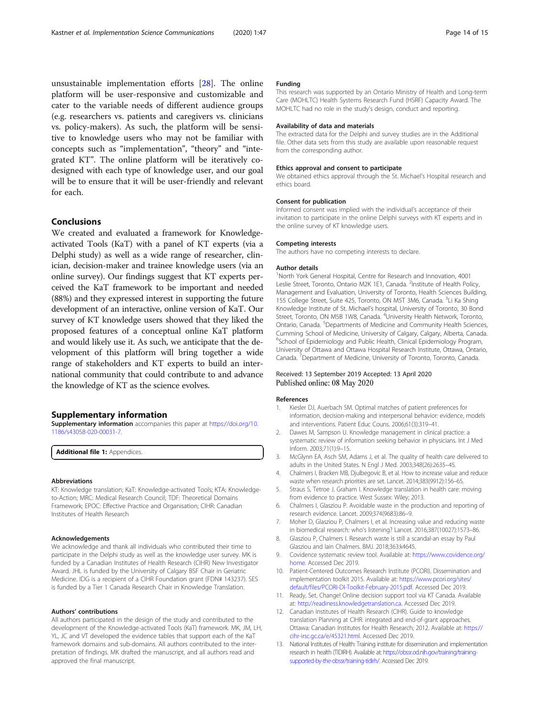<span id="page-13-0"></span>unsustainable implementation efforts [[28](#page-14-0)]. The online platform will be user-responsive and customizable and cater to the variable needs of different audience groups (e.g. researchers vs. patients and caregivers vs. clinicians vs. policy-makers). As such, the platform will be sensitive to knowledge users who may not be familiar with concepts such as "implementation", "theory" and "integrated KT". The online platform will be iteratively co-

designed with each type of knowledge user, and our goal will be to ensure that it will be user-friendly and relevant for each.

# Conclusions

We created and evaluated a framework for Knowledgeactivated Tools (KaT) with a panel of KT experts (via a Delphi study) as well as a wide range of researcher, clinician, decision-maker and trainee knowledge users (via an online survey). Our findings suggest that KT experts perceived the KaT framework to be important and needed (88%) and they expressed interest in supporting the future development of an interactive, online version of KaT. Our survey of KT knowledge users showed that they liked the proposed features of a conceptual online KaT platform and would likely use it. As such, we anticipate that the development of this platform will bring together a wide range of stakeholders and KT experts to build an international community that could contribute to and advance the knowledge of KT as the science evolves.

#### Supplementary information

Supplementary information accompanies this paper at [https://doi.org/10.](https://doi.org/10.1186/s43058-020-00031-7) [1186/s43058-020-00031-7](https://doi.org/10.1186/s43058-020-00031-7).

Additional file 1: Appendices.

#### Abbreviations

KT: Knowledge translation; KaT: Knowledge-activated Tools; KTA: Knowledgeto-Action; MRC: Medical Research Council; TDF: Theoretical Domains Framework; EPOC: Effective Practice and Organisation; CIHR: Canadian Institutes of Health Research

#### Acknowledgements

We acknowledge and thank all individuals who contributed their time to participate in the Delphi study as well as the knowledge user survey. MK is funded by a Canadian Institutes of Health Research (CIHR) New Investigator Award. JHL is funded by the University of Calgary BSF Chair in Geriatric Medicine. IDG is a recipient of a CIHR Foundation grant (FDN# 143237). SES is funded by a Tier 1 Canada Research Chair in Knowledge Translation.

#### Authors' contributions

All authors participated in the design of the study and contributed to the development of the Knowledge-activated Tools (KaT) framework. MK, JM, LH, YL, JC and VT developed the evidence tables that support each of the KaT framework domains and sub-domains. All authors contributed to the interpretation of findings. MK drafted the manuscript, and all authors read and approved the final manuscript.

#### Funding

This research was supported by an Ontario Ministry of Health and Long-term Care (MOHLTC) Health Systems Research Fund (HSRF) Capacity Award. The MOHLTC had no role in the study's design, conduct and reporting.

#### Availability of data and materials

The extracted data for the Delphi and survey studies are in the Additional file. Other data sets from this study are available upon reasonable request from the corresponding author.

#### Ethics approval and consent to participate

We obtained ethics approval through the St. Michael's Hospital research and ethics board.

#### Consent for publication

Informed consent was implied with the individual's acceptance of their invitation to participate in the online Delphi surveys with KT experts and in the online survey of KT knowledge users.

#### Competing interests

The authors have no competing interests to declare.

#### Author details

<sup>1</sup>North York General Hospital, Centre for Research and Innovation, 4001 Leslie Street, Toronto, Ontario M2K 1E1, Canada. <sup>2</sup>Institute of Health Policy, Management and Evaluation, University of Toronto, Health Sciences Building, 155 College Street, Suite 425, Toronto, ON M5T 3M6, Canada. <sup>3</sup>Li Ka Shing Knowledge Institute of St. Michael's hospital, University of Toronto, 30 Bond Street, Toronto, ON M5B 1W8, Canada. <sup>4</sup>University Health Network, Toronto Ontario, Canada. <sup>5</sup>Departments of Medicine and Community Health Sciences, Cumming School of Medicine, University of Calgary, Calgary, Alberta, Canada. <sup>6</sup>School of Epidemiology and Public Health, Clinical Epidemiology Program University of Ottawa and Ottawa Hospital Research Institute, Ottawa, Ontario, Canada.<sup>7</sup> Department of Medicine, University of Toronto, Toronto, Canada.

#### Received: 13 September 2019 Accepted: 13 April 2020 Published online: 08 May 2020

#### References

- 1. Kiesler DJ, Auerbach SM. Optimal matches of patient preferences for information, decision-making and interpersonal behavior: evidence, models and interventions. Patient Educ Couns. 2006;61(3):319–41.
- 2. Dawes M, Sampson U. Knowledge management in clinical practice: a systematic review of information seeking behavior in physicians. Int J Med Inform. 2003;71(1):9–15.
- 3. McGlynn EA, Asch SM, Adams J, et al. The quality of health care delivered to adults in the United States. N Engl J Med. 2003;348(26):2635–45.
- 4. Chalmers I, Bracken MB, Djulbegovic B, et al. How to increase value and reduce waste when research priorities are set. Lancet. 2014;383(9912):156–65.
- 5. Straus S, Tetroe J, Graham I. Knowledge translation in health care: moving from evidence to practice. West Sussex: Wiley; 2013.
- 6. Chalmers I, Glasziou P. Avoidable waste in the production and reporting of research evidence. Lancet. 2009;374(9683):86–9.
- 7. Moher D, Glasziou P, Chalmers I, et al. Increasing value and reducing waste in biomedical research: who's listening? Lancet. 2016;387(10027):1573–86.
- 8. Glasziou P, Chalmers I. Research waste is still a scandal-an essay by Paul Glasziou and Iain Chalmers. BMJ. 2018;363:k4645.
- 9. Covidence systematic review tool. Available at: [https://www.covidence.org/](https://www.covidence.org/home) [home](https://www.covidence.org/home). Accessed Dec 2019.
- 10. Patient-Centered Outcomes Research Institute (PCORI). Dissemination and implementation toolkit 2015. Available at: [https://www.pcori.org/sites/](https://www.pcori.org/sites/default/files/PCORI-DI-Toolkit-February-2015.pdf) [default/files/PCORI-DI-Toolkit-February-2015.pdf.](https://www.pcori.org/sites/default/files/PCORI-DI-Toolkit-February-2015.pdf) Accessed Dec 2019.
- 11. Ready, Set, Change! Online decision support tool via KT Canada. Available at: [http://readiness.knowledgetranslation.ca.](http://readiness.knowledgetranslation.ca) Accessed Dec 2019.
- 12. Canadian Institutes of Health Research (CIHR). Guide to knowledge translation Planning at CIHR: integrated and end-of-grant approaches. Ottawa: Canadian Institutes for Health Research; 2012. Available at: [https://](https://cihr-irsc.gc.ca/e/45321.html) [cihr-irsc.gc.ca/e/45321.html.](https://cihr-irsc.gc.ca/e/45321.html) Accessed Dec 2019.
- 13. National Institutes of Health: Training institute for dissemination and implementation research in health (TIDIRH). Available at: [https://obssr.od.nih.gov/training/training](https://obssr.od.nih.gov/training/training-supported-by-the-obssr/training-tidirh/)[supported-by-the-obssr/training-tidirh/](https://obssr.od.nih.gov/training/training-supported-by-the-obssr/training-tidirh/). Accessed Dec 2019.